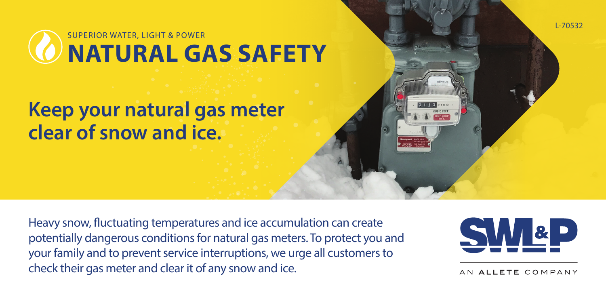**NATURAL GAS SAFETY** SUPERIOR WATER, LIGHT & POWER

## **Keep your natural gas meter clear of snow and ice.**

Heavy snow, fluctuating temperatures and ice accumulation can create potentially dangerous conditions for natural gas meters. To protect you and your family and to prevent service interruptions, we urge all customers to check their gas meter and clear it of any snow and ice.



L-70532

ALLETE COMPANY